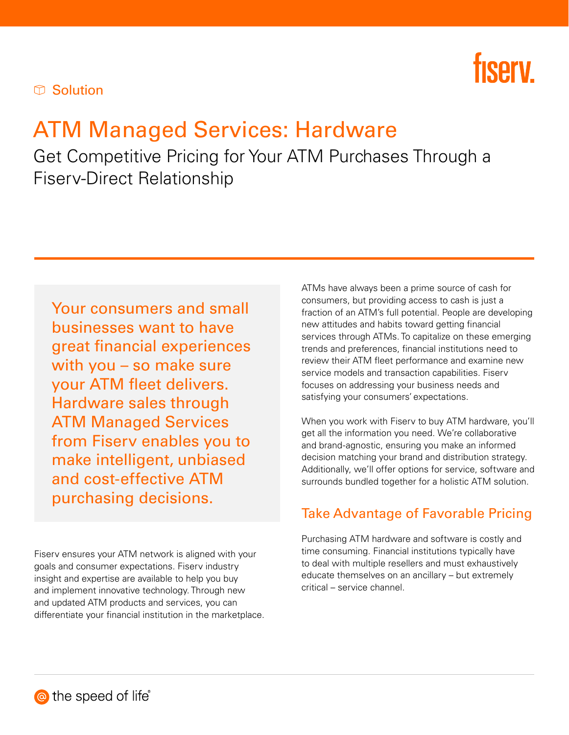

#### **The Solution**

# ATM Managed Services: Hardware

Get Competitive Pricing for Your ATM Purchases Through a Fiserv-Direct Relationship

Your consumers and small businesses want to have great financial experiences with you – so make sure your ATM fleet delivers. Hardware sales through ATM Managed Services from Fiserv enables you to make intelligent, unbiased and cost-effective ATM purchasing decisions.

Fiserv ensures your ATM network is aligned with your goals and consumer expectations. Fiserv industry insight and expertise are available to help you buy and implement innovative technology. Through new and updated ATM products and services, you can differentiate your financial institution in the marketplace. ATMs have always been a prime source of cash for consumers, but providing access to cash is just a fraction of an ATM's full potential. People are developing new attitudes and habits toward getting financial services through ATMs. To capitalize on these emerging trends and preferences, financial institutions need to review their ATM fleet performance and examine new service models and transaction capabilities. Fiserv focuses on addressing your business needs and satisfying your consumers' expectations.

When you work with Fiserv to buy ATM hardware, you'll get all the information you need. We're collaborative and brand-agnostic, ensuring you make an informed decision matching your brand and distribution strategy. Additionally, we'll offer options for service, software and surrounds bundled together for a holistic ATM solution.

#### Take Advantage of Favorable Pricing

Purchasing ATM hardware and software is costly and time consuming. Financial institutions typically have to deal with multiple resellers and must exhaustively educate themselves on an ancillary – but extremely critical – service channel.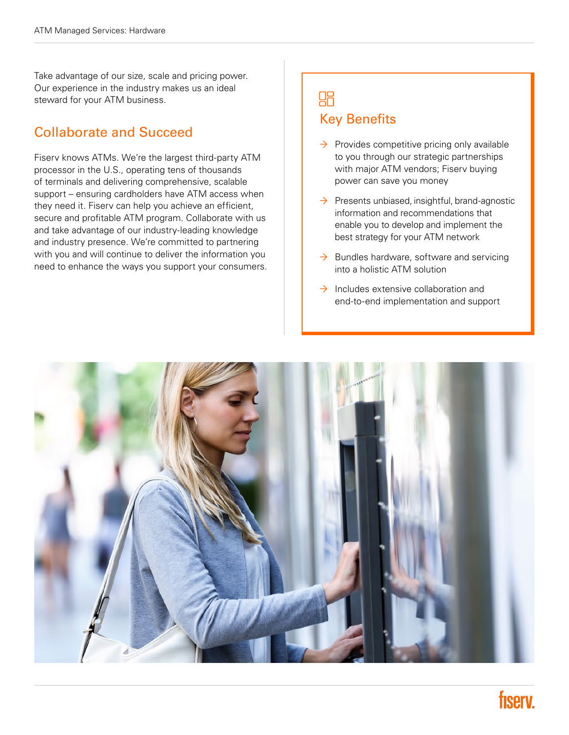Take advantage of our size, scale and pricing power. Our experience in the industry makes us an ideal steward for your ATM business.

#### Collaborate and Succeed

Fiserv knows ATMs. We're the largest third-party ATM processor in the U.S., operating tens of thousands of terminals and delivering comprehensive, scalable support – ensuring cardholders have ATM access when they need it. Fiserv can help you achieve an efficient, secure and profitable ATM program. Collaborate with us and take advantage of our industry-leading knowledge and industry presence. We're committed to partnering with you and will continue to deliver the information you need to enhance the ways you support your consumers.

### 88 Key Benefits

- $\rightarrow$  Provides competitive pricing only available to you through our strategic partnerships with major ATM vendors; Fiserv buying power can save you money
- $\rightarrow$  Presents unbiased, insightful, brand-agnostic information and recommendations that enable you to develop and implement the best strategy for your ATM network
- $\rightarrow$  Bundles hardware, software and servicing into a holistic ATM solution
- $\rightarrow$  Includes extensive collaboration and end-to-end implementation and support